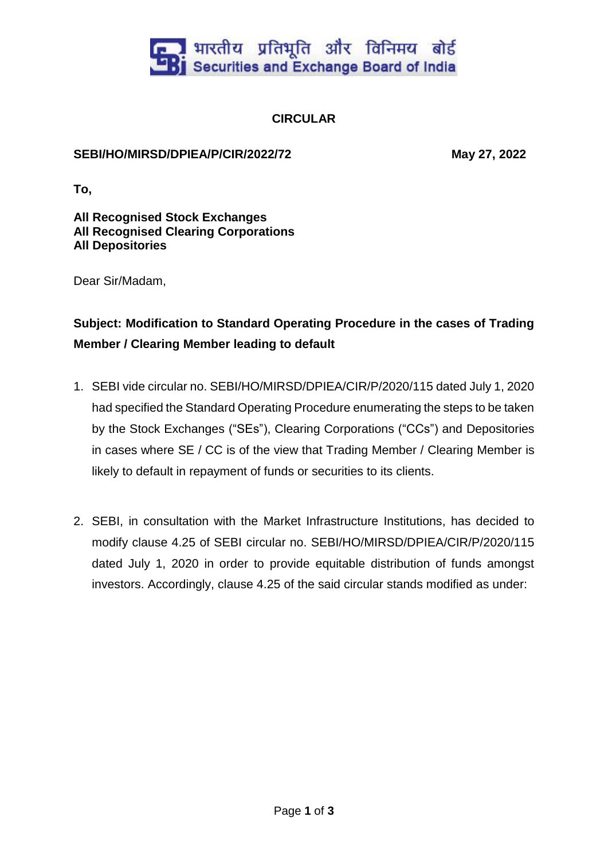

## **CIRCULAR**

## **SEBI/HO/MIRSD/DPIEA/P/CIR/2022/72 May 27, 2022**

**To,**

**All Recognised Stock Exchanges All Recognised Clearing Corporations All Depositories**

Dear Sir/Madam,

## **Subject: Modification to Standard Operating Procedure in the cases of Trading Member / Clearing Member leading to default**

- 1. SEBI vide circular no. SEBI/HO/MIRSD/DPIEA/CIR/P/2020/115 dated July 1, 2020 had specified the Standard Operating Procedure enumerating the steps to be taken by the Stock Exchanges ("SEs"), Clearing Corporations ("CCs") and Depositories in cases where SE / CC is of the view that Trading Member / Clearing Member is likely to default in repayment of funds or securities to its clients.
- 2. SEBI, in consultation with the Market Infrastructure Institutions, has decided to modify clause 4.25 of SEBI circular no. SEBI/HO/MIRSD/DPIEA/CIR/P/2020/115 dated July 1, 2020 in order to provide equitable distribution of funds amongst investors. Accordingly, clause 4.25 of the said circular stands modified as under: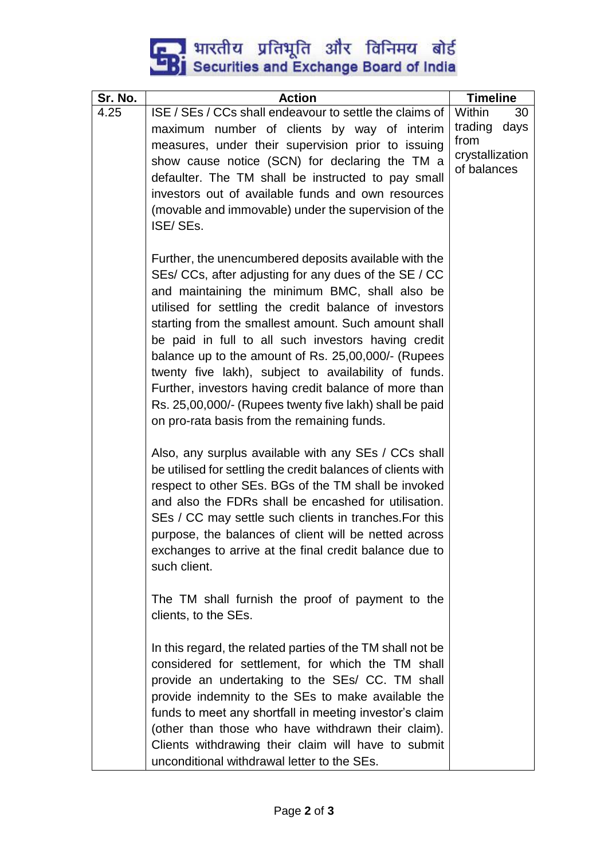## **External strategy of the Securities and Exchange Board of India**

| Sr. No. | <b>Action</b>                                                                                                 | <b>Timeline</b>                |      |
|---------|---------------------------------------------------------------------------------------------------------------|--------------------------------|------|
| 4.25    | ISE / SEs / CCs shall endeavour to settle the claims of                                                       | Within                         | 30   |
|         | maximum number of clients by way of interim                                                                   | trading                        | days |
|         | measures, under their supervision prior to issuing                                                            | from                           |      |
|         | show cause notice (SCN) for declaring the TM a                                                                | crystallization<br>of balances |      |
|         | defaulter. The TM shall be instructed to pay small                                                            |                                |      |
|         | investors out of available funds and own resources                                                            |                                |      |
|         | (movable and immovable) under the supervision of the                                                          |                                |      |
|         | ISE/SEs.                                                                                                      |                                |      |
|         |                                                                                                               |                                |      |
|         | Further, the unencumbered deposits available with the                                                         |                                |      |
|         | SEs/ CCs, after adjusting for any dues of the SE / CC                                                         |                                |      |
|         | and maintaining the minimum BMC, shall also be                                                                |                                |      |
|         | utilised for settling the credit balance of investors<br>starting from the smallest amount. Such amount shall |                                |      |
|         | be paid in full to all such investors having credit                                                           |                                |      |
|         | balance up to the amount of Rs. 25,00,000/- (Rupees                                                           |                                |      |
|         | twenty five lakh), subject to availability of funds.                                                          |                                |      |
|         | Further, investors having credit balance of more than                                                         |                                |      |
|         | Rs. 25,00,000/- (Rupees twenty five lakh) shall be paid                                                       |                                |      |
|         | on pro-rata basis from the remaining funds.                                                                   |                                |      |
|         |                                                                                                               |                                |      |
|         | Also, any surplus available with any SEs / CCs shall                                                          |                                |      |
|         | be utilised for settling the credit balances of clients with                                                  |                                |      |
|         | respect to other SEs. BGs of the TM shall be invoked                                                          |                                |      |
|         | and also the FDRs shall be encashed for utilisation.                                                          |                                |      |
|         | SEs / CC may settle such clients in tranches. For this                                                        |                                |      |
|         | purpose, the balances of client will be netted across                                                         |                                |      |
|         | exchanges to arrive at the final credit balance due to                                                        |                                |      |
|         | such client.                                                                                                  |                                |      |
|         | The TM shall furnish the proof of payment to the                                                              |                                |      |
|         | clients, to the SEs.                                                                                          |                                |      |
|         |                                                                                                               |                                |      |
|         | In this regard, the related parties of the TM shall not be                                                    |                                |      |
|         | considered for settlement, for which the TM shall                                                             |                                |      |
|         | provide an undertaking to the SEs/ CC. TM shall                                                               |                                |      |
|         | provide indemnity to the SEs to make available the                                                            |                                |      |
|         | funds to meet any shortfall in meeting investor's claim                                                       |                                |      |
|         | (other than those who have withdrawn their claim).                                                            |                                |      |
|         | Clients withdrawing their claim will have to submit                                                           |                                |      |
|         | unconditional withdrawal letter to the SEs.                                                                   |                                |      |